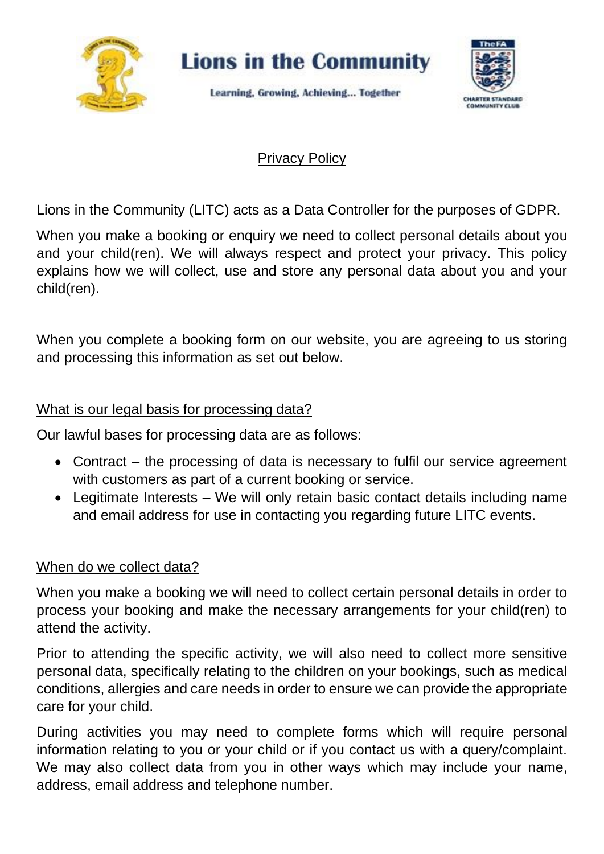

# Privacy Policy

Lions in the Community (LITC) acts as a Data Controller for the purposes of GDPR.

When you make a booking or enquiry we need to collect personal details about you and your child(ren). We will always respect and protect your privacy. This policy explains how we will collect, use and store any personal data about you and your child(ren).

When you complete a booking form on our website, you are agreeing to us storing and processing this information as set out below.

## What is our legal basis for processing data?

Our lawful bases for processing data are as follows:

- Contract the processing of data is necessary to fulfil our service agreement with customers as part of a current booking or service.
- Legitimate Interests We will only retain basic contact details including name and email address for use in contacting you regarding future LITC events.

### When do we collect data?

When you make a booking we will need to collect certain personal details in order to process your booking and make the necessary arrangements for your child(ren) to attend the activity.

Prior to attending the specific activity, we will also need to collect more sensitive personal data, specifically relating to the children on your bookings, such as medical conditions, allergies and care needs in order to ensure we can provide the appropriate care for your child.

During activities you may need to complete forms which will require personal information relating to you or your child or if you contact us with a query/complaint. We may also collect data from you in other ways which may include your name, address, email address and telephone number.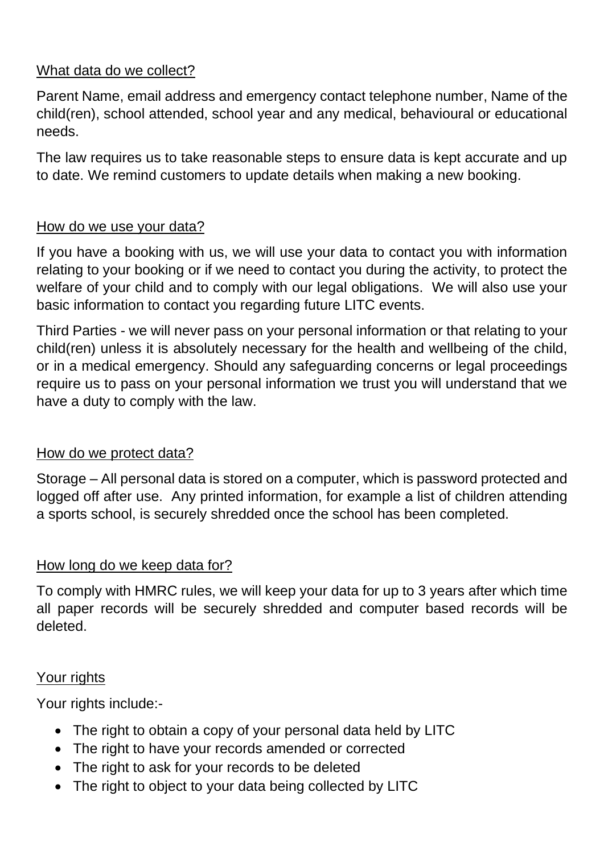# What data do we collect?

Parent Name, email address and emergency contact telephone number, Name of the child(ren), school attended, school year and any medical, behavioural or educational needs.

The law requires us to take reasonable steps to ensure data is kept accurate and up to date. We remind customers to update details when making a new booking.

## How do we use your data?

If you have a booking with us, we will use your data to contact you with information relating to your booking or if we need to contact you during the activity, to protect the welfare of your child and to comply with our legal obligations. We will also use your basic information to contact you regarding future LITC events.

Third Parties - we will never pass on your personal information or that relating to your child(ren) unless it is absolutely necessary for the health and wellbeing of the child, or in a medical emergency. Should any safeguarding concerns or legal proceedings require us to pass on your personal information we trust you will understand that we have a duty to comply with the law.

### How do we protect data?

Storage – All personal data is stored on a computer, which is password protected and logged off after use. Any printed information, for example a list of children attending a sports school, is securely shredded once the school has been completed.

# How long do we keep data for?

To comply with HMRC rules, we will keep your data for up to 3 years after which time all paper records will be securely shredded and computer based records will be deleted.

### Your rights

Your rights include:-

- The right to obtain a copy of your personal data held by LITC
- The right to have your records amended or corrected
- The right to ask for your records to be deleted
- The right to object to your data being collected by LITC